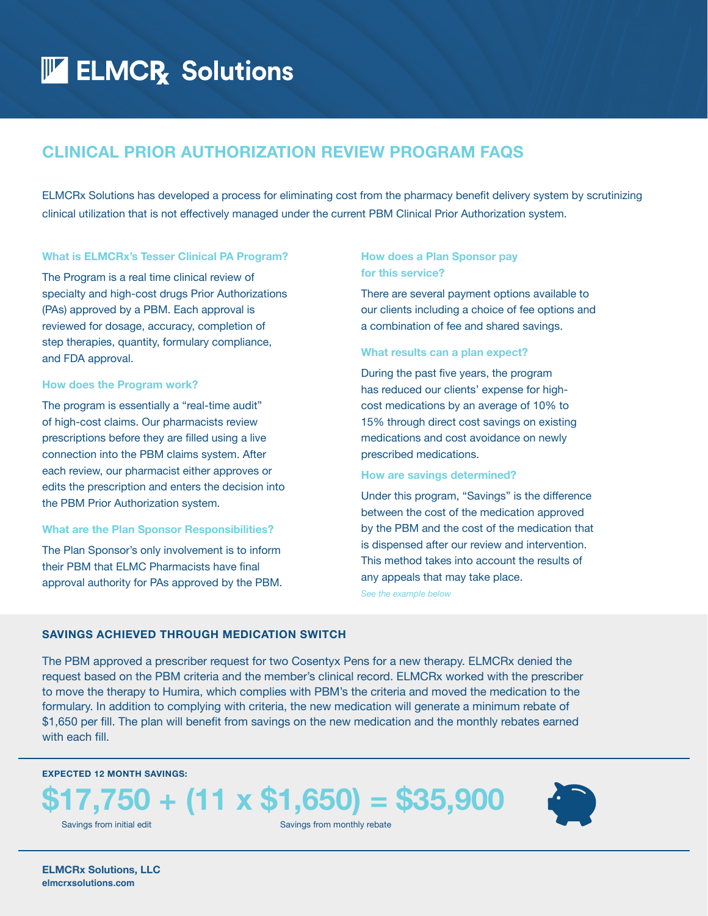## **ELMCR** Solutions

## **CLINICAL PRIOR AUTHORIZATION REVIEW PROGRAM FAQS**

ELMCRx Solutions has developed a process for eliminating cost from the pharmacy benefit delivery system by scrutinizing clinical utilization that is not effectively managed under the current PBM Clinical Prior Authorization system.

#### **What is ELMCRx's Tesser Clinical PA Program?**

The Program is a real time clinical review of specialty and high-cost drugs Prior Authorizations (PAs) approved by a PBM. Each approval is reviewed for dosage, accuracy, completion of step therapies, quantity, formulary compliance, and FDA approval.

#### **How does the Program work?**

The program is essentially a "real-time audit" of high-cost claims. Our pharmacists review prescriptions before they are filled using a live connection into the PBM claims system. After each review, our pharmacist either approves or edits the prescription and enters the decision into the PBM Prior Authorization system.

#### **What are the Plan Sponsor Responsibilities?**

The Plan Sponsor's only involvement is to inform their PBM that ELMC Pharmacists have final approval authority for PAs approved by the PBM.

#### **How does a Plan Sponsor pay for this service?**

There are several payment options available to our clients including a choice of fee options and a combination of fee and shared savings.

#### **What results can a plan expect?**

During the past five years, the program has reduced our clients' expense for highcost medications by an average of 10% to 15% through direct cost savings on existing medications and cost avoidance on newly prescribed medications.

#### **How are savings determined?**

Under this program, "Savings" is the difference between the cost of the medication approved by the PBM and the cost of the medication that is dispensed after our review and intervention. This method takes into account the results of any appeals that may take place.

*See the example below*

#### **SAVINGS ACHIEVED THROUGH MEDICATION SWITCH**

The PBM approved a prescriber request for two Cosentyx Pens for a new therapy. ELMCRx denied the request based on the PBM criteria and the member's clinical record. ELMCRx worked with the prescriber to move the therapy to Humira, which complies with PBM's the criteria and moved the medication to the formulary. In addition to complying with criteria, the new medication will generate a minimum rebate of \$1,650 per fill. The plan will benefit from savings on the new medication and the monthly rebates earned with each fill.

#### **EXPECTED 12 MONTH SAVINGS:**

# **\$17,750 + (11 x \$1,650) = \$35,900**





**ELMCRx Solutions, LLC elmcrxsolutions.com**